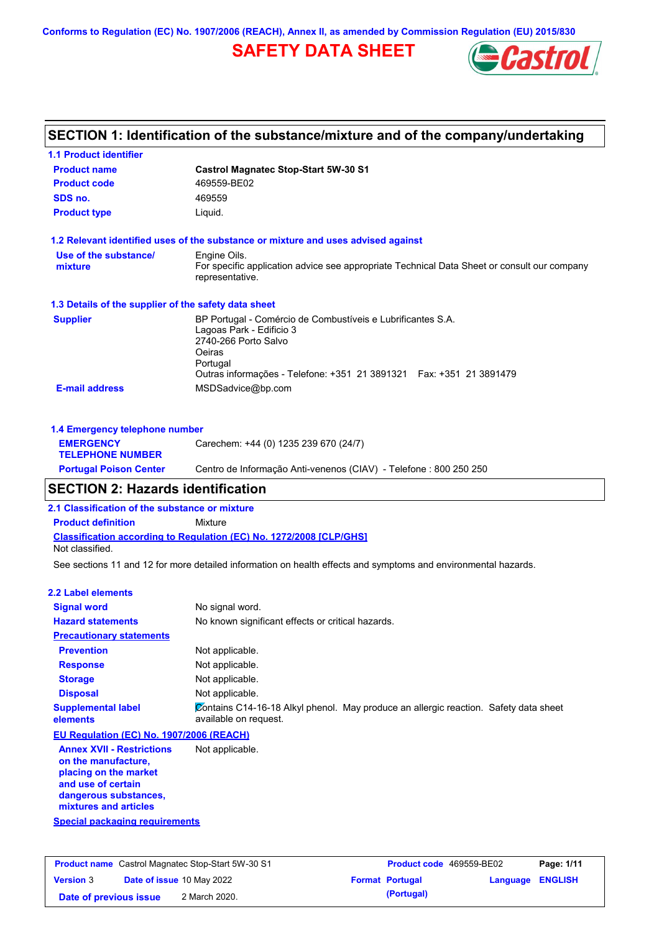**Conforms to Regulation (EC) No. 1907/2006 (REACH), Annex II, as amended by Commission Regulation (EU) 2015/830**

# **SAFETY DATA SHEET**



| <b>1.1 Product identifier</b>                        |                                                                                                                                                                                                               |
|------------------------------------------------------|---------------------------------------------------------------------------------------------------------------------------------------------------------------------------------------------------------------|
| <b>Product name</b>                                  | <b>Castrol Magnatec Stop-Start 5W-30 S1</b>                                                                                                                                                                   |
| <b>Product code</b>                                  | 469559-BE02                                                                                                                                                                                                   |
| SDS no.                                              | 469559                                                                                                                                                                                                        |
| <b>Product type</b>                                  | Liquid.                                                                                                                                                                                                       |
|                                                      | 1.2 Relevant identified uses of the substance or mixture and uses advised against                                                                                                                             |
| Use of the substance/<br>mixture                     | Engine Oils.<br>For specific application advice see appropriate Technical Data Sheet or consult our company<br>representative.                                                                                |
| 1.3 Details of the supplier of the safety data sheet |                                                                                                                                                                                                               |
| <b>Supplier</b>                                      | BP Portugal - Comércio de Combustíveis e Lubrificantes S.A.<br>Lagoas Park - Edificio 3<br>2740-266 Porto Salvo<br>Oeiras<br>Portugal<br>Outras informações - Telefone: +351 21 3891321  Fax: +351 21 3891479 |
| <b>E-mail address</b>                                | MSDSadvice@bp.com                                                                                                                                                                                             |
| 1.4 Emergency telephone number                       |                                                                                                                                                                                                               |
| <b>EMERGENCY</b><br><b>TELEPHONE NUMBER</b>          | Carechem: +44 (0) 1235 239 670 (24/7)                                                                                                                                                                         |
| <b>Portugal Poison Center</b>                        | Centro de Informação Anti-venenos (CIAV) - Telefone : 800 250 250                                                                                                                                             |

### **2.1 Classification of the substance or mixture**

**Product definition** Mixture

**Classification according to Regulation (EC) No. 1272/2008 [CLP/GHS]** Not classified.

See sections 11 and 12 for more detailed information on health effects and symptoms and environmental hazards.

#### **2.2 Label elements**

| <b>Signal word</b>                                                                                                                                                                                 | No signal word.                                                                                               |
|----------------------------------------------------------------------------------------------------------------------------------------------------------------------------------------------------|---------------------------------------------------------------------------------------------------------------|
| <b>Hazard statements</b>                                                                                                                                                                           | No known significant effects or critical hazards.                                                             |
| <b>Precautionary statements</b>                                                                                                                                                                    |                                                                                                               |
| <b>Prevention</b>                                                                                                                                                                                  | Not applicable.                                                                                               |
| <b>Response</b>                                                                                                                                                                                    | Not applicable.                                                                                               |
| <b>Storage</b>                                                                                                                                                                                     | Not applicable.                                                                                               |
| <b>Disposal</b>                                                                                                                                                                                    | Not applicable.                                                                                               |
| <b>Supplemental label</b><br>elements                                                                                                                                                              | Contains C14-16-18 Alkyl phenol. May produce an allergic reaction. Safety data sheet<br>available on request. |
| EU Regulation (EC) No. 1907/2006 (REACH)                                                                                                                                                           |                                                                                                               |
| <b>Annex XVII - Restrictions</b><br>on the manufacture,<br>placing on the market<br>a constitution of the constant of the constitution of the constitution of the constitution of the constitution | Not applicable.                                                                                               |

**and use of certain dangerous substances, mixtures and articles**

**Special packaging requirements**

| <b>Product name</b> Castrol Magnatec Stop-Start 5W-30 S1 |  | <b>Product code</b> 469559-BE02  |  | Page: 1/11             |                  |  |
|----------------------------------------------------------|--|----------------------------------|--|------------------------|------------------|--|
| <b>Version 3</b>                                         |  | <b>Date of issue 10 May 2022</b> |  | <b>Format Portugal</b> | Language ENGLISH |  |
| Date of previous issue                                   |  | 2 March 2020.                    |  | (Portugal)             |                  |  |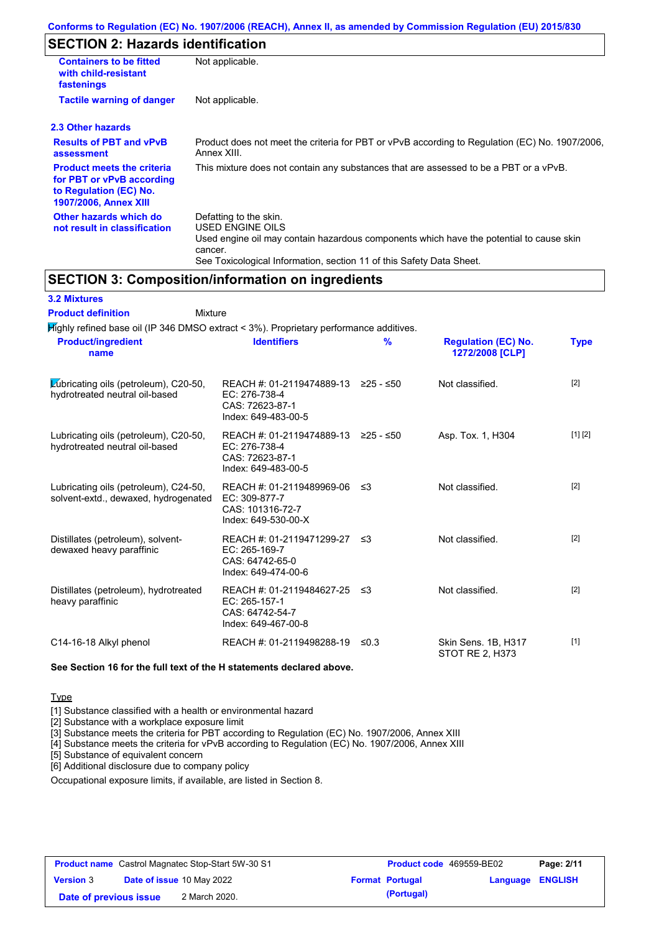# **SECTION 2: Hazards identification**

| <b>Containers to be fitted</b><br>with child-resistant<br>fastenings                                              | Not applicable.                                                                                                                                                                                                          |
|-------------------------------------------------------------------------------------------------------------------|--------------------------------------------------------------------------------------------------------------------------------------------------------------------------------------------------------------------------|
| <b>Tactile warning of danger</b>                                                                                  | Not applicable.                                                                                                                                                                                                          |
| 2.3 Other hazards                                                                                                 |                                                                                                                                                                                                                          |
| <b>Results of PBT and vPvB</b><br>assessment                                                                      | Product does not meet the criteria for PBT or vPvB according to Regulation (EC) No. 1907/2006,<br>Annex XIII.                                                                                                            |
| <b>Product meets the criteria</b><br>for PBT or vPvB according<br>to Regulation (EC) No.<br>1907/2006, Annex XIII | This mixture does not contain any substances that are assessed to be a PBT or a vPvB.                                                                                                                                    |
| Other hazards which do<br>not result in classification                                                            | Defatting to the skin.<br>USED ENGINE OILS<br>Used engine oil may contain hazardous components which have the potential to cause skin<br>cancer.<br>See Toxicological Information, section 11 of this Safety Data Sheet. |

# **SECTION 3: Composition/information on ingredients**

| <b>3.2 Mixtures</b> |  |
|---------------------|--|
|---------------------|--|

| <b>Product definition</b>                                                              | Mixture                                                                                                    |               |                                               |             |
|----------------------------------------------------------------------------------------|------------------------------------------------------------------------------------------------------------|---------------|-----------------------------------------------|-------------|
| Mighly refined base oil (IP 346 DMSO extract < 3%). Proprietary performance additives. |                                                                                                            |               |                                               |             |
| <b>Product/ingredient</b><br>name                                                      | <b>Identifiers</b>                                                                                         | $\frac{9}{6}$ | <b>Regulation (EC) No.</b><br>1272/2008 [CLP] | <b>Type</b> |
| Lubricating oils (petroleum), C20-50,<br>hydrotreated neutral oil-based                | REACH #: 01-2119474889-13 $\geq$ 25 - $\leq$ 50<br>EC: 276-738-4<br>CAS: 72623-87-1<br>Index: 649-483-00-5 |               | Not classified.                               | [2]         |
| Lubricating oils (petroleum), C20-50,<br>hydrotreated neutral oil-based                | REACH #: 01-2119474889-13 ≥25 - ≤50<br>EC: 276-738-4<br>CAS: 72623-87-1<br>Index: 649-483-00-5             |               | Asp. Tox. 1, H304                             | [1] [2]     |
| Lubricating oils (petroleum), C24-50,<br>solvent-extd., dewaxed, hydrogenated          | REACH #: 01-2119489969-06<br>EC: 309-877-7<br>CAS: 101316-72-7<br>Index: 649-530-00-X                      | ו≥ ≤          | Not classified.                               | [2]         |
| Distillates (petroleum), solvent-<br>dewaxed heavy paraffinic                          | REACH #: 01-2119471299-27<br>EC: 265-169-7<br>CAS: 64742-65-0<br>Index: 649-474-00-6                       | ≤3            | Not classified.                               | $[2]$       |
| Distillates (petroleum), hydrotreated<br>heavy paraffinic                              | REACH #: 01-2119484627-25<br>EC: 265-157-1<br>CAS: 64742-54-7<br>Index: 649-467-00-8                       | -≤3           | Not classified.                               | $[2]$       |
| C14-16-18 Alkyl phenol                                                                 | REACH #: 01-2119498288-19                                                                                  | ≤0.3          | Skin Sens. 1B, H317<br>STOT RE 2, H373        | $[1]$       |

#### **See Section 16 for the full text of the H statements declared above.**

**Type** 

[1] Substance classified with a health or environmental hazard

[2] Substance with a workplace exposure limit

[3] Substance meets the criteria for PBT according to Regulation (EC) No. 1907/2006, Annex XIII

[4] Substance meets the criteria for vPvB according to Regulation (EC) No. 1907/2006, Annex XIII

[5] Substance of equivalent concern

[6] Additional disclosure due to company policy

Occupational exposure limits, if available, are listed in Section 8.

| <b>Product name</b> Castrol Magnatec Stop-Start 5W-30 S1 |  |                                  | <b>Product code</b> 469559-BE02 | Page: 2/11             |                         |  |
|----------------------------------------------------------|--|----------------------------------|---------------------------------|------------------------|-------------------------|--|
| <b>Version 3</b>                                         |  | <b>Date of issue 10 May 2022</b> |                                 | <b>Format Portugal</b> | <b>Language ENGLISH</b> |  |
| Date of previous issue                                   |  | 2 March 2020.                    |                                 | (Portugal)             |                         |  |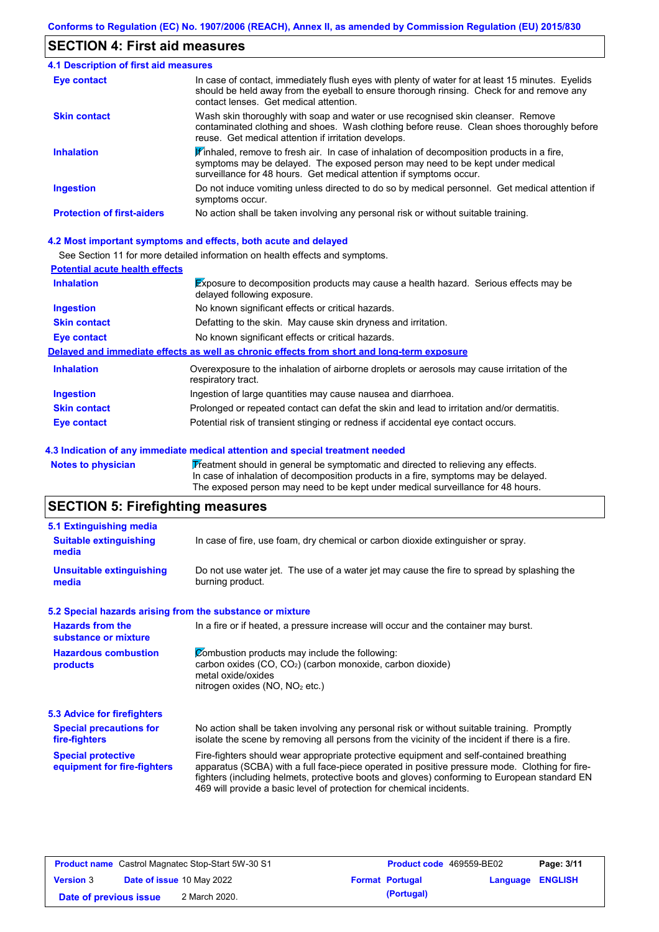## **SECTION 4: First aid measures**

| 4.1 Description of first aid measures |                                                                                                                                                                                                                                                                         |
|---------------------------------------|-------------------------------------------------------------------------------------------------------------------------------------------------------------------------------------------------------------------------------------------------------------------------|
| <b>Eye contact</b>                    | In case of contact, immediately flush eyes with plenty of water for at least 15 minutes. Eyelids<br>should be held away from the eyeball to ensure thorough rinsing. Check for and remove any<br>contact lenses. Get medical attention.                                 |
| <b>Skin contact</b>                   | Wash skin thoroughly with soap and water or use recognised skin cleanser. Remove<br>contaminated clothing and shoes. Wash clothing before reuse. Clean shoes thoroughly before<br>reuse. Get medical attention if irritation develops.                                  |
| <b>Inhalation</b>                     | $\mathbf{\mathscr{F}}$ inhaled, remove to fresh air. In case of inhalation of decomposition products in a fire,<br>symptoms may be delayed. The exposed person may need to be kept under medical<br>surveillance for 48 hours. Get medical attention if symptoms occur. |
| <b>Ingestion</b>                      | Do not induce vomiting unless directed to do so by medical personnel. Get medical attention if<br>symptoms occur.                                                                                                                                                       |
| <b>Protection of first-aiders</b>     | No action shall be taken involving any personal risk or without suitable training.                                                                                                                                                                                      |

### **4.2 Most important symptoms and effects, both acute and delayed**

See Section 11 for more detailed information on health effects and symptoms.

| <b>Potential acute health effects</b> |                                                                                                                            |
|---------------------------------------|----------------------------------------------------------------------------------------------------------------------------|
| <b>Inhalation</b>                     | <b>Exposure to decomposition products may cause a health hazard. Serious effects may be</b><br>delayed following exposure. |
| <b>Ingestion</b>                      | No known significant effects or critical hazards.                                                                          |
| <b>Skin contact</b>                   | Defatting to the skin. May cause skin dryness and irritation.                                                              |
| Eye contact                           | No known significant effects or critical hazards.                                                                          |
|                                       | Delayed and immediate effects as well as chronic effects from short and long-term exposure                                 |
| <b>Inhalation</b>                     | Overexposure to the inhalation of airborne droplets or aerosols may cause irritation of the<br>respiratory tract.          |
| <b>Ingestion</b>                      | Ingestion of large quantities may cause nausea and diarrhoea.                                                              |
| <b>Skin contact</b>                   | Prolonged or repeated contact can defat the skin and lead to irritation and/or dermatitis.                                 |
| Eye contact                           | Potential risk of transient stinging or redness if accidental eye contact occurs.                                          |

#### **4.3 Indication of any immediate medical attention and special treatment needed**

Notes to physician **Treatment should in general be symptomatic and directed to relieving any effects.** In case of inhalation of decomposition products in a fire, symptoms may be delayed. The exposed person may need to be kept under medical surveillance for 48 hours.

# **SECTION 5: Firefighting measures**

| 5.1 Extinguishing media                                   |                                                                                                                                                                                                                                                                                                                                                                   |
|-----------------------------------------------------------|-------------------------------------------------------------------------------------------------------------------------------------------------------------------------------------------------------------------------------------------------------------------------------------------------------------------------------------------------------------------|
| <b>Suitable extinguishing</b><br>media                    | In case of fire, use foam, dry chemical or carbon dioxide extinguisher or spray.                                                                                                                                                                                                                                                                                  |
| <b>Unsuitable extinguishing</b><br>media                  | Do not use water jet. The use of a water jet may cause the fire to spread by splashing the<br>burning product.                                                                                                                                                                                                                                                    |
| 5.2 Special hazards arising from the substance or mixture |                                                                                                                                                                                                                                                                                                                                                                   |
| <b>Hazards from the</b><br>substance or mixture           | In a fire or if heated, a pressure increase will occur and the container may burst.                                                                                                                                                                                                                                                                               |
| <b>Hazardous combustion</b><br>products                   | Combustion products may include the following:<br>carbon oxides (CO, CO <sub>2</sub> ) (carbon monoxide, carbon dioxide)<br>metal oxide/oxides<br>nitrogen oxides ( $NO$ , $NO2$ etc.)                                                                                                                                                                            |
| 5.3 Advice for firefighters                               |                                                                                                                                                                                                                                                                                                                                                                   |
| <b>Special precautions for</b><br>fire-fighters           | No action shall be taken involving any personal risk or without suitable training. Promptly<br>isolate the scene by removing all persons from the vicinity of the incident if there is a fire.                                                                                                                                                                    |
| <b>Special protective</b><br>equipment for fire-fighters  | Fire-fighters should wear appropriate protective equipment and self-contained breathing<br>apparatus (SCBA) with a full face-piece operated in positive pressure mode. Clothing for fire-<br>fighters (including helmets, protective boots and gloves) conforming to European standard EN<br>469 will provide a basic level of protection for chemical incidents. |

| <b>Product name</b> Castrol Magnatec Stop-Start 5W-30 S1 |  |                                  | <b>Product code</b> 469559-BE02 | Page: 3/11             |                  |  |
|----------------------------------------------------------|--|----------------------------------|---------------------------------|------------------------|------------------|--|
| <b>Version 3</b>                                         |  | <b>Date of issue 10 May 2022</b> |                                 | <b>Format Portugal</b> | Language ENGLISH |  |
| Date of previous issue                                   |  | 2 March 2020.                    |                                 | (Portugal)             |                  |  |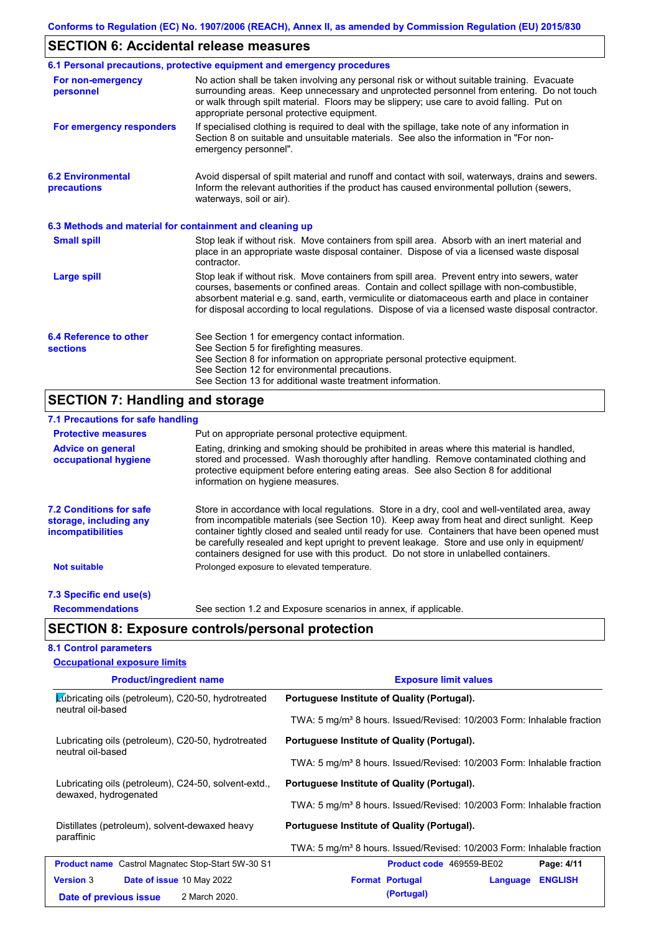# **SECTION 6: Accidental release measures**

|                                                          | 6.1 Personal precautions, protective equipment and emergency procedures                                                                                                                                                                                                                                                                                                                        |
|----------------------------------------------------------|------------------------------------------------------------------------------------------------------------------------------------------------------------------------------------------------------------------------------------------------------------------------------------------------------------------------------------------------------------------------------------------------|
| For non-emergency<br>personnel                           | No action shall be taken involving any personal risk or without suitable training. Evacuate<br>surrounding areas. Keep unnecessary and unprotected personnel from entering. Do not touch<br>or walk through spilt material. Floors may be slippery; use care to avoid falling. Put on<br>appropriate personal protective equipment.                                                            |
| For emergency responders                                 | If specialised clothing is required to deal with the spillage, take note of any information in<br>Section 8 on suitable and unsuitable materials. See also the information in "For non-<br>emergency personnel".                                                                                                                                                                               |
| <b>6.2 Environmental</b><br>precautions                  | Avoid dispersal of spilt material and runoff and contact with soil, waterways, drains and sewers.<br>Inform the relevant authorities if the product has caused environmental pollution (sewers,<br>waterways, soil or air).                                                                                                                                                                    |
| 6.3 Methods and material for containment and cleaning up |                                                                                                                                                                                                                                                                                                                                                                                                |
| <b>Small spill</b>                                       | Stop leak if without risk. Move containers from spill area. Absorb with an inert material and<br>place in an appropriate waste disposal container. Dispose of via a licensed waste disposal<br>contractor.                                                                                                                                                                                     |
| <b>Large spill</b>                                       | Stop leak if without risk. Move containers from spill area. Prevent entry into sewers, water<br>courses, basements or confined areas. Contain and collect spillage with non-combustible,<br>absorbent material e.g. sand, earth, vermiculite or diatomaceous earth and place in container<br>for disposal according to local regulations. Dispose of via a licensed waste disposal contractor. |
| 6.4 Reference to other<br><b>sections</b>                | See Section 1 for emergency contact information.<br>See Section 5 for firefighting measures.<br>See Section 8 for information on appropriate personal protective equipment.<br>See Section 12 for environmental precautions.<br>See Section 13 for additional waste treatment information.                                                                                                     |

# **SECTION 7: Handling and storage**

| 7.1 Precautions for safe handling                                                    |                                                                                                                                                                                                                                                                                                                                                                                                                                                                                          |
|--------------------------------------------------------------------------------------|------------------------------------------------------------------------------------------------------------------------------------------------------------------------------------------------------------------------------------------------------------------------------------------------------------------------------------------------------------------------------------------------------------------------------------------------------------------------------------------|
| <b>Protective measures</b>                                                           | Put on appropriate personal protective equipment.                                                                                                                                                                                                                                                                                                                                                                                                                                        |
| <b>Advice on general</b><br>occupational hygiene                                     | Eating, drinking and smoking should be prohibited in areas where this material is handled,<br>stored and processed. Wash thoroughly after handling. Remove contaminated clothing and<br>protective equipment before entering eating areas. See also Section 8 for additional<br>information on hygiene measures.                                                                                                                                                                         |
| <b>7.2 Conditions for safe</b><br>storage, including any<br><i>incompatibilities</i> | Store in accordance with local regulations. Store in a dry, cool and well-ventilated area, away<br>from incompatible materials (see Section 10). Keep away from heat and direct sunlight. Keep<br>container tightly closed and sealed until ready for use. Containers that have been opened must<br>be carefully resealed and kept upright to prevent leakage. Store and use only in equipment/<br>containers designed for use with this product. Do not store in unlabelled containers. |
| <b>Not suitable</b>                                                                  | Prolonged exposure to elevated temperature.                                                                                                                                                                                                                                                                                                                                                                                                                                              |
| 7.3 Specific end use(s)                                                              |                                                                                                                                                                                                                                                                                                                                                                                                                                                                                          |
| <b>Recommendations</b>                                                               | See section 1.2 and Exposure scenarios in annex, if applicable.                                                                                                                                                                                                                                                                                                                                                                                                                          |

### **8.1 Control parameters**

| <b>Occupational exposure limits</b>                                           |                                                                                    |  |  |  |  |
|-------------------------------------------------------------------------------|------------------------------------------------------------------------------------|--|--|--|--|
| <b>Product/ingredient name</b>                                                | <b>Exposure limit values</b>                                                       |  |  |  |  |
| Lubricating oils (petroleum), C20-50, hydrotreated<br>neutral oil-based       | Portuguese Institute of Quality (Portugal).                                        |  |  |  |  |
|                                                                               | TWA: 5 mg/m <sup>3</sup> 8 hours. Issued/Revised: 10/2003 Form: Inhalable fraction |  |  |  |  |
| Lubricating oils (petroleum), C20-50, hydrotreated<br>neutral oil-based       | Portuguese Institute of Quality (Portugal).                                        |  |  |  |  |
|                                                                               | TWA: 5 mg/m <sup>3</sup> 8 hours. Issued/Revised: 10/2003 Form: Inhalable fraction |  |  |  |  |
| Lubricating oils (petroleum), C24-50, solvent-extd.,<br>dewaxed, hydrogenated | Portuguese Institute of Quality (Portugal).                                        |  |  |  |  |
|                                                                               | TWA: 5 mg/m <sup>3</sup> 8 hours. Issued/Revised: 10/2003 Form: Inhalable fraction |  |  |  |  |
| Distillates (petroleum), solvent-dewaxed heavy<br>paraffinic                  | Portuguese Institute of Quality (Portugal).                                        |  |  |  |  |
|                                                                               | TWA: 5 mg/m <sup>3</sup> 8 hours. Issued/Revised: 10/2003 Form: Inhalable fraction |  |  |  |  |
| <b>Product name</b> Castrol Magnatec Stop-Start 5W-30 S1                      | Page: 4/11<br>Product code 469559-BE02                                             |  |  |  |  |
| <b>Version 3</b><br>Date of issue 10 May 2022                                 | <b>ENGLISH</b><br><b>Format Portugal</b><br>Language                               |  |  |  |  |
| 2 March 2020.<br>Date of previous issue                                       | (Portugal)                                                                         |  |  |  |  |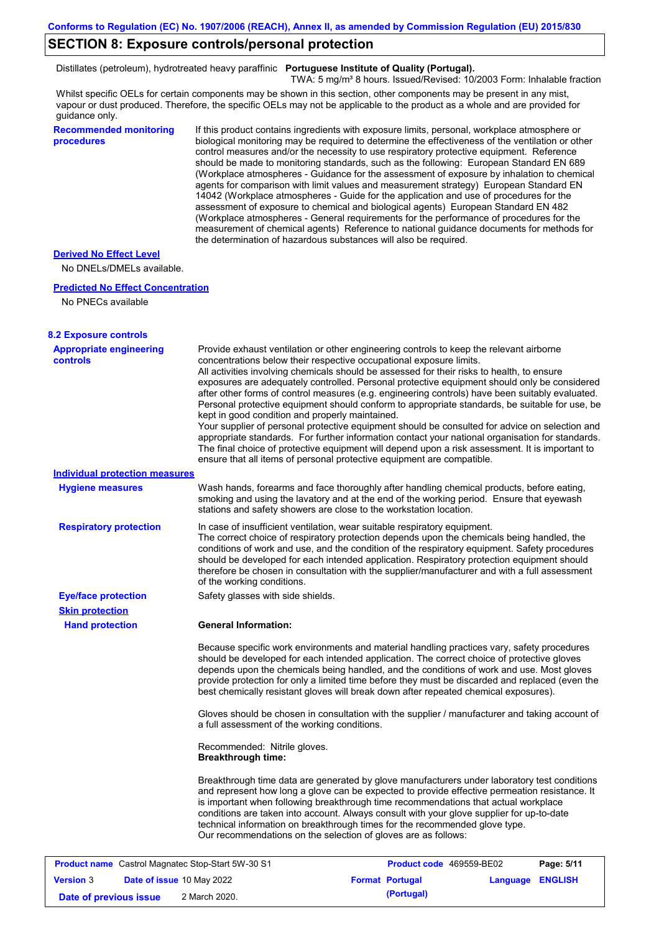### **SECTION 8: Exposure controls/personal protection**

Distillates (petroleum), hydrotreated heavy paraffinic **Portuguese Institute of Quality (Portugal).**

TWA: 5 mg/m<sup>3</sup> 8 hours. Issued/Revised: 10/2003 Form: Inhalable fraction

Whilst specific OELs for certain components may be shown in this section, other components may be present in any mist, vapour or dust produced. Therefore, the specific OELs may not be applicable to the product as a whole and are provided for guidance only.

### **Recommended monitoring procedures**

If this product contains ingredients with exposure limits, personal, workplace atmosphere or biological monitoring may be required to determine the effectiveness of the ventilation or other control measures and/or the necessity to use respiratory protective equipment. Reference should be made to monitoring standards, such as the following: European Standard EN 689 (Workplace atmospheres - Guidance for the assessment of exposure by inhalation to chemical agents for comparison with limit values and measurement strategy) European Standard EN 14042 (Workplace atmospheres - Guide for the application and use of procedures for the assessment of exposure to chemical and biological agents) European Standard EN 482 (Workplace atmospheres - General requirements for the performance of procedures for the measurement of chemical agents) Reference to national guidance documents for methods for the determination of hazardous substances will also be required.

### **Derived No Effect Level**

No DNELs/DMELs available.

#### **Predicted No Effect Concentration**

No PNECs available

| <b>8.2 Exposure controls</b>                             |                                                           |                                                                                                                                                                                                                                                                                                                                                                                                                                                                                                                                                                                                                                                                                                                                                                                                                                                                                                                                                      |                  |  |
|----------------------------------------------------------|-----------------------------------------------------------|------------------------------------------------------------------------------------------------------------------------------------------------------------------------------------------------------------------------------------------------------------------------------------------------------------------------------------------------------------------------------------------------------------------------------------------------------------------------------------------------------------------------------------------------------------------------------------------------------------------------------------------------------------------------------------------------------------------------------------------------------------------------------------------------------------------------------------------------------------------------------------------------------------------------------------------------------|------------------|--|
| <b>Appropriate engineering</b><br>controls               | kept in good condition and properly maintained.           | Provide exhaust ventilation or other engineering controls to keep the relevant airborne<br>concentrations below their respective occupational exposure limits.<br>All activities involving chemicals should be assessed for their risks to health, to ensure<br>exposures are adequately controlled. Personal protective equipment should only be considered<br>after other forms of control measures (e.g. engineering controls) have been suitably evaluated.<br>Personal protective equipment should conform to appropriate standards, be suitable for use, be<br>Your supplier of personal protective equipment should be consulted for advice on selection and<br>appropriate standards. For further information contact your national organisation for standards.<br>The final choice of protective equipment will depend upon a risk assessment. It is important to<br>ensure that all items of personal protective equipment are compatible. |                  |  |
| <b>Individual protection measures</b>                    |                                                           |                                                                                                                                                                                                                                                                                                                                                                                                                                                                                                                                                                                                                                                                                                                                                                                                                                                                                                                                                      |                  |  |
| <b>Hygiene measures</b>                                  |                                                           | Wash hands, forearms and face thoroughly after handling chemical products, before eating,<br>smoking and using the lavatory and at the end of the working period. Ensure that eyewash<br>stations and safety showers are close to the workstation location.                                                                                                                                                                                                                                                                                                                                                                                                                                                                                                                                                                                                                                                                                          |                  |  |
| <b>Respiratory protection</b>                            | of the working conditions.                                | In case of insufficient ventilation, wear suitable respiratory equipment.<br>The correct choice of respiratory protection depends upon the chemicals being handled, the<br>conditions of work and use, and the condition of the respiratory equipment. Safety procedures<br>should be developed for each intended application. Respiratory protection equipment should<br>therefore be chosen in consultation with the supplier/manufacturer and with a full assessment                                                                                                                                                                                                                                                                                                                                                                                                                                                                              |                  |  |
| <b>Eye/face protection</b>                               | Safety glasses with side shields.                         |                                                                                                                                                                                                                                                                                                                                                                                                                                                                                                                                                                                                                                                                                                                                                                                                                                                                                                                                                      |                  |  |
| <b>Skin protection</b>                                   |                                                           |                                                                                                                                                                                                                                                                                                                                                                                                                                                                                                                                                                                                                                                                                                                                                                                                                                                                                                                                                      |                  |  |
| <b>Hand protection</b>                                   | <b>General Information:</b>                               |                                                                                                                                                                                                                                                                                                                                                                                                                                                                                                                                                                                                                                                                                                                                                                                                                                                                                                                                                      |                  |  |
|                                                          |                                                           | Because specific work environments and material handling practices vary, safety procedures<br>should be developed for each intended application. The correct choice of protective gloves<br>depends upon the chemicals being handled, and the conditions of work and use. Most gloves<br>provide protection for only a limited time before they must be discarded and replaced (even the<br>best chemically resistant gloves will break down after repeated chemical exposures).                                                                                                                                                                                                                                                                                                                                                                                                                                                                     |                  |  |
|                                                          | a full assessment of the working conditions.              | Gloves should be chosen in consultation with the supplier / manufacturer and taking account of                                                                                                                                                                                                                                                                                                                                                                                                                                                                                                                                                                                                                                                                                                                                                                                                                                                       |                  |  |
|                                                          | Recommended: Nitrile gloves.<br><b>Breakthrough time:</b> |                                                                                                                                                                                                                                                                                                                                                                                                                                                                                                                                                                                                                                                                                                                                                                                                                                                                                                                                                      |                  |  |
|                                                          |                                                           | Breakthrough time data are generated by glove manufacturers under laboratory test conditions<br>and represent how long a glove can be expected to provide effective permeation resistance. It<br>is important when following breakthrough time recommendations that actual workplace<br>conditions are taken into account. Always consult with your glove supplier for up-to-date<br>technical information on breakthrough times for the recommended glove type.<br>Our recommendations on the selection of gloves are as follows:                                                                                                                                                                                                                                                                                                                                                                                                                   |                  |  |
| <b>Product name</b> Castrol Magnatec Stop-Start 5W-30 S1 |                                                           | Product code 469559-BE02                                                                                                                                                                                                                                                                                                                                                                                                                                                                                                                                                                                                                                                                                                                                                                                                                                                                                                                             | Page: 5/11       |  |
| <b>Version 3</b><br>Date of issue 10 May 2022            |                                                           | <b>Format Portugal</b>                                                                                                                                                                                                                                                                                                                                                                                                                                                                                                                                                                                                                                                                                                                                                                                                                                                                                                                               | Language ENGLISH |  |

**Date of previous issue (Portugal)** 2 March 2020.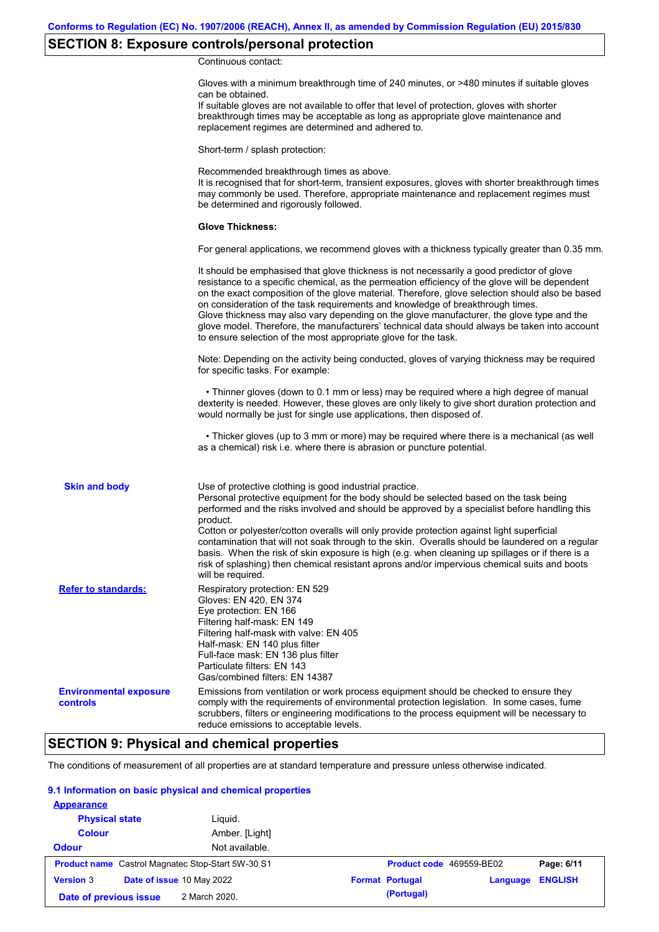# **SECTION 8: Exposure controls/personal protection**

Continuous contact:

|                                                  | Gloves with a minimum breakthrough time of 240 minutes, or >480 minutes if suitable gloves<br>can be obtained.<br>If suitable gloves are not available to offer that level of protection, gloves with shorter<br>breakthrough times may be acceptable as long as appropriate glove maintenance and<br>replacement regimes are determined and adhered to.                                                                                                                                                                                                                                                                                                                              |
|--------------------------------------------------|---------------------------------------------------------------------------------------------------------------------------------------------------------------------------------------------------------------------------------------------------------------------------------------------------------------------------------------------------------------------------------------------------------------------------------------------------------------------------------------------------------------------------------------------------------------------------------------------------------------------------------------------------------------------------------------|
|                                                  | Short-term / splash protection:                                                                                                                                                                                                                                                                                                                                                                                                                                                                                                                                                                                                                                                       |
|                                                  | Recommended breakthrough times as above.<br>It is recognised that for short-term, transient exposures, gloves with shorter breakthrough times<br>may commonly be used. Therefore, appropriate maintenance and replacement regimes must<br>be determined and rigorously followed.                                                                                                                                                                                                                                                                                                                                                                                                      |
|                                                  | <b>Glove Thickness:</b>                                                                                                                                                                                                                                                                                                                                                                                                                                                                                                                                                                                                                                                               |
|                                                  | For general applications, we recommend gloves with a thickness typically greater than 0.35 mm.                                                                                                                                                                                                                                                                                                                                                                                                                                                                                                                                                                                        |
|                                                  | It should be emphasised that glove thickness is not necessarily a good predictor of glove<br>resistance to a specific chemical, as the permeation efficiency of the glove will be dependent<br>on the exact composition of the glove material. Therefore, glove selection should also be based<br>on consideration of the task requirements and knowledge of breakthrough times.<br>Glove thickness may also vary depending on the glove manufacturer, the glove type and the<br>glove model. Therefore, the manufacturers' technical data should always be taken into account<br>to ensure selection of the most appropriate glove for the task.                                     |
|                                                  | Note: Depending on the activity being conducted, gloves of varying thickness may be required<br>for specific tasks. For example:                                                                                                                                                                                                                                                                                                                                                                                                                                                                                                                                                      |
|                                                  | • Thinner gloves (down to 0.1 mm or less) may be required where a high degree of manual<br>dexterity is needed. However, these gloves are only likely to give short duration protection and<br>would normally be just for single use applications, then disposed of.                                                                                                                                                                                                                                                                                                                                                                                                                  |
|                                                  | • Thicker gloves (up to 3 mm or more) may be required where there is a mechanical (as well<br>as a chemical) risk i.e. where there is abrasion or puncture potential.                                                                                                                                                                                                                                                                                                                                                                                                                                                                                                                 |
| <b>Skin and body</b>                             | Use of protective clothing is good industrial practice.<br>Personal protective equipment for the body should be selected based on the task being<br>performed and the risks involved and should be approved by a specialist before handling this<br>product.<br>Cotton or polyester/cotton overalls will only provide protection against light superficial<br>contamination that will not soak through to the skin. Overalls should be laundered on a regular<br>basis. When the risk of skin exposure is high (e.g. when cleaning up spillages or if there is a<br>risk of splashing) then chemical resistant aprons and/or impervious chemical suits and boots<br>will be required. |
| <b>Refer to standards:</b>                       | Respiratory protection: EN 529<br>Gloves: EN 420, EN 374<br>Eye protection: EN 166<br>Filtering half-mask: EN 149<br>Filtering half-mask with valve: EN 405<br>Half-mask: EN 140 plus filter<br>Full-face mask: EN 136 plus filter<br>Particulate filters: EN 143<br>Gas/combined filters: EN 14387                                                                                                                                                                                                                                                                                                                                                                                   |
| <b>Environmental exposure</b><br><b>controls</b> | Emissions from ventilation or work process equipment should be checked to ensure they<br>comply with the requirements of environmental protection legislation. In some cases, fume<br>scrubbers, filters or engineering modifications to the process equipment will be necessary to<br>reduce emissions to acceptable levels.                                                                                                                                                                                                                                                                                                                                                         |

# **SECTION 9: Physical and chemical properties**

The conditions of measurement of all properties are at standard temperature and pressure unless otherwise indicated.

### **9.1 Information on basic physical and chemical properties**

| <b>Appearance</b>      |                                                          |                                    |                |
|------------------------|----------------------------------------------------------|------------------------------------|----------------|
| <b>Physical state</b>  | Liquid.                                                  |                                    |                |
| <b>Colour</b>          | Amber. [Light]                                           |                                    |                |
| <b>Odour</b>           | Not available.                                           |                                    |                |
|                        | <b>Product name</b> Castrol Magnatec Stop-Start 5W-30 S1 | Product code 469559-BE02           | Page: 6/11     |
| <b>Version 3</b>       | Date of issue 10 May 2022                                | <b>Format Portugal</b><br>Language | <b>ENGLISH</b> |
| Date of previous issue | 2 March 2020.                                            | (Portugal)                         |                |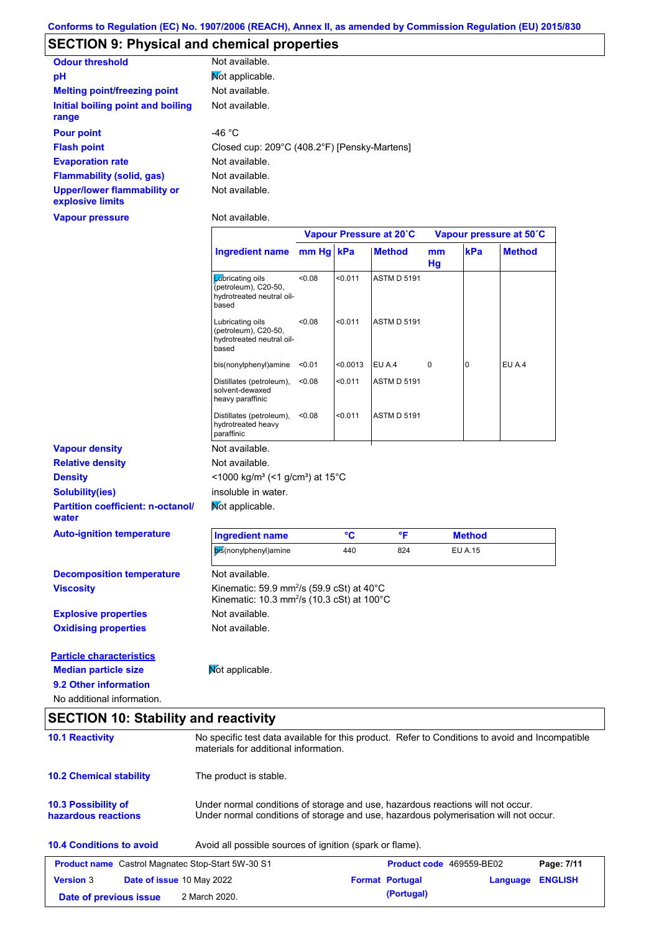# **SECTION 9: Physical and chemical properties**

| <b>Odour threshold</b>                                 | Not available.                               |
|--------------------------------------------------------|----------------------------------------------|
| pH                                                     | Mot applicable.                              |
| <b>Melting point/freezing point</b>                    | Not available.                               |
| Initial boiling point and boiling<br>range             | Not available.                               |
| <b>Pour point</b>                                      | -46 °C                                       |
| <b>Flash point</b>                                     | Closed cup: 209°C (408.2°F) [Pensky-Martens] |
| <b>Evaporation rate</b>                                | Not available.                               |
| <b>Flammability (solid, gas)</b>                       | Not available.                               |
| <b>Upper/lower flammability or</b><br>explosive limits | Not available.                               |

**Vapour pressure**

Not available.

|                                                                       |                                                                                                                 | Vapour Pressure at 20°C |                 |                    | Vapour pressure at 50°C |                |               |
|-----------------------------------------------------------------------|-----------------------------------------------------------------------------------------------------------------|-------------------------|-----------------|--------------------|-------------------------|----------------|---------------|
|                                                                       | <b>Ingredient name</b>                                                                                          | mm Hg kPa               |                 | <b>Method</b>      | mm<br>Hg                | kPa            | <b>Method</b> |
|                                                                       | Labricating oils<br>(petroleum), C20-50,<br>hydrotreated neutral oil-<br>based                                  | < 0.08                  | < 0.011         | <b>ASTM D 5191</b> |                         |                |               |
|                                                                       | Lubricating oils<br>(petroleum), C20-50,<br>hydrotreated neutral oil-<br>based                                  | < 0.08                  | < 0.011         | <b>ASTM D 5191</b> |                         |                |               |
|                                                                       | bis(nonylphenyl)amine                                                                                           | < 0.01                  | < 0.0013        | EU A.4             | 0                       | 0              | EU A.4        |
|                                                                       | Distillates (petroleum),<br>solvent-dewaxed<br>heavy paraffinic                                                 | < 0.08                  | < 0.011         | <b>ASTM D 5191</b> |                         |                |               |
|                                                                       | Distillates (petroleum),<br>hydrotreated heavy<br>paraffinic                                                    | < 0.08                  | < 0.011         | <b>ASTM D 5191</b> |                         |                |               |
| <b>Vapour density</b>                                                 | Not available.                                                                                                  |                         |                 |                    |                         |                |               |
| <b>Relative density</b>                                               | Not available.                                                                                                  |                         |                 |                    |                         |                |               |
| <b>Density</b>                                                        | $<$ 1000 kg/m <sup>3</sup> (<1 g/cm <sup>3</sup> ) at 15 <sup>°</sup> C                                         |                         |                 |                    |                         |                |               |
| <b>Solubility(ies)</b>                                                | insoluble in water.                                                                                             |                         |                 |                    |                         |                |               |
| <b>Partition coefficient: n-octanol/</b><br>water                     | Not applicable.                                                                                                 |                         |                 |                    |                         |                |               |
| <b>Auto-ignition temperature</b>                                      | <b>Ingredient name</b>                                                                                          |                         | $\rm ^{\circ}C$ | °F                 |                         | <b>Method</b>  |               |
|                                                                       | bis(nonylphenyl)amine                                                                                           |                         | 440             | 824                |                         | <b>EU A.15</b> |               |
| <b>Decomposition temperature</b>                                      | Not available.                                                                                                  |                         |                 |                    |                         |                |               |
| <b>Viscosity</b>                                                      | Kinematic: 59.9 mm <sup>2</sup> /s (59.9 cSt) at 40°C<br>Kinematic: 10.3 mm <sup>2</sup> /s (10.3 cSt) at 100°C |                         |                 |                    |                         |                |               |
| <b>Explosive properties</b>                                           | Not available.                                                                                                  |                         |                 |                    |                         |                |               |
| <b>Oxidising properties</b>                                           | Not available.                                                                                                  |                         |                 |                    |                         |                |               |
| <b>Particle characteristics</b>                                       |                                                                                                                 |                         |                 |                    |                         |                |               |
| <b>Median particle size</b>                                           | Mot applicable.                                                                                                 |                         |                 |                    |                         |                |               |
|                                                                       |                                                                                                                 |                         |                 |                    |                         |                |               |
| 9.2 Other information                                                 |                                                                                                                 |                         |                 |                    |                         |                |               |
| No additional information.                                            |                                                                                                                 |                         |                 |                    |                         |                |               |
|                                                                       |                                                                                                                 |                         |                 |                    |                         |                |               |
|                                                                       | No specific test data available for this product. Refer to Conditions to avoid and Incompatible                 |                         |                 |                    |                         |                |               |
| <b>SECTION 10: Stability and reactivity</b><br><b>10.1 Reactivity</b> | materials for additional information.                                                                           |                         |                 |                    |                         |                |               |

| 10.3 Possibility of | Under normal conditions of storage and use, hazardous reactions will not occur.      |
|---------------------|--------------------------------------------------------------------------------------|
| hazardous reactions | Under normal conditions of storage and use, hazardous polymerisation will not occur. |

| <b>10.4 Conditions to avoid</b> | Avoid all possible sources of ignition (spark or flame). |
|---------------------------------|----------------------------------------------------------|
|---------------------------------|----------------------------------------------------------|

| <b>Product name</b> Castrol Magnatec Stop-Start 5W-30 S1 |  |                                  | <b>Product code</b> 469559-BE02 | Page: 7/11             |                         |  |
|----------------------------------------------------------|--|----------------------------------|---------------------------------|------------------------|-------------------------|--|
| <b>Version 3</b>                                         |  | <b>Date of issue 10 May 2022</b> |                                 | <b>Format Portugal</b> | <b>Language ENGLISH</b> |  |
| Date of previous issue                                   |  | 2 March 2020.                    |                                 | (Portugal)             |                         |  |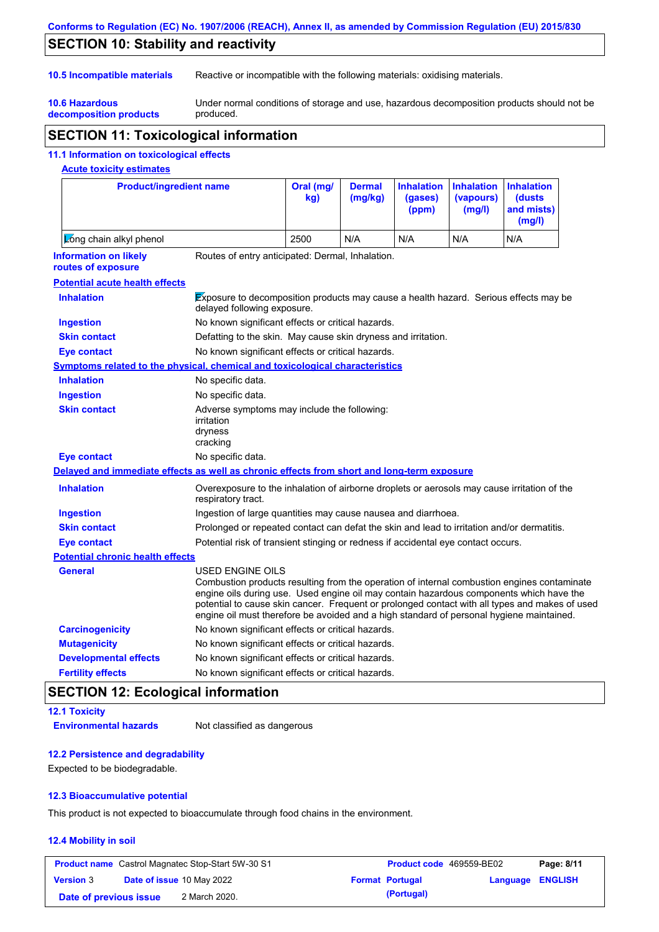### **Conforms to Regulation (EC) No. 1907/2006 (REACH), Annex II, as amended by Commission Regulation (EU) 2015/830**

# **SECTION 10: Stability and reactivity**

**10.6 Hazardous** 

**10.5 Incompatible materials** Reactive or incompatible with the following materials: oxidising materials.

**decomposition products** Under normal conditions of storage and use, hazardous decomposition products should not be produced.

# **SECTION 11: Toxicological information**

### **11.1 Information on toxicological effects**

## **Acute toxicity estimates**

| <b>Product/ingredient name</b>                                                             | Oral (mg/<br>kg)                                                                                                                                                                                               | <b>Dermal</b><br>(mq/kg) | <b>Inhalation</b><br>(gases)<br>(ppm) | <b>Inhalation</b><br>(vapours)<br>(mg/l) | <b>Inhalation</b><br>(dusts)<br>and mists)<br>(mg/l) |                                                                                                                                                                                               |
|--------------------------------------------------------------------------------------------|----------------------------------------------------------------------------------------------------------------------------------------------------------------------------------------------------------------|--------------------------|---------------------------------------|------------------------------------------|------------------------------------------------------|-----------------------------------------------------------------------------------------------------------------------------------------------------------------------------------------------|
| Long chain alkyl phenol                                                                    |                                                                                                                                                                                                                | 2500                     | N/A                                   | N/A                                      | N/A                                                  | N/A                                                                                                                                                                                           |
| <b>Information on likely</b><br>routes of exposure                                         | Routes of entry anticipated: Dermal, Inhalation.                                                                                                                                                               |                          |                                       |                                          |                                                      |                                                                                                                                                                                               |
| <b>Potential acute health effects</b>                                                      |                                                                                                                                                                                                                |                          |                                       |                                          |                                                      |                                                                                                                                                                                               |
| <b>Inhalation</b>                                                                          | <b>Exposure to decomposition products may cause a health hazard. Serious effects may be</b><br>delayed following exposure.                                                                                     |                          |                                       |                                          |                                                      |                                                                                                                                                                                               |
| <b>Ingestion</b>                                                                           | No known significant effects or critical hazards.                                                                                                                                                              |                          |                                       |                                          |                                                      |                                                                                                                                                                                               |
| <b>Skin contact</b>                                                                        | Defatting to the skin. May cause skin dryness and irritation.                                                                                                                                                  |                          |                                       |                                          |                                                      |                                                                                                                                                                                               |
| <b>Eye contact</b>                                                                         | No known significant effects or critical hazards.                                                                                                                                                              |                          |                                       |                                          |                                                      |                                                                                                                                                                                               |
| <b>Symptoms related to the physical, chemical and toxicological characteristics</b>        |                                                                                                                                                                                                                |                          |                                       |                                          |                                                      |                                                                                                                                                                                               |
| <b>Inhalation</b>                                                                          | No specific data.                                                                                                                                                                                              |                          |                                       |                                          |                                                      |                                                                                                                                                                                               |
| <b>Ingestion</b>                                                                           | No specific data.                                                                                                                                                                                              |                          |                                       |                                          |                                                      |                                                                                                                                                                                               |
| <b>Skin contact</b>                                                                        | Adverse symptoms may include the following:<br>irritation<br>dryness<br>cracking                                                                                                                               |                          |                                       |                                          |                                                      |                                                                                                                                                                                               |
| <b>Eye contact</b>                                                                         | No specific data.                                                                                                                                                                                              |                          |                                       |                                          |                                                      |                                                                                                                                                                                               |
| Delayed and immediate effects as well as chronic effects from short and long-term exposure |                                                                                                                                                                                                                |                          |                                       |                                          |                                                      |                                                                                                                                                                                               |
| <b>Inhalation</b>                                                                          | Overexposure to the inhalation of airborne droplets or aerosols may cause irritation of the<br>respiratory tract.                                                                                              |                          |                                       |                                          |                                                      |                                                                                                                                                                                               |
| <b>Ingestion</b>                                                                           | Ingestion of large quantities may cause nausea and diarrhoea.                                                                                                                                                  |                          |                                       |                                          |                                                      |                                                                                                                                                                                               |
| <b>Skin contact</b>                                                                        | Prolonged or repeated contact can defat the skin and lead to irritation and/or dermatitis.                                                                                                                     |                          |                                       |                                          |                                                      |                                                                                                                                                                                               |
| <b>Eye contact</b>                                                                         | Potential risk of transient stinging or redness if accidental eye contact occurs.                                                                                                                              |                          |                                       |                                          |                                                      |                                                                                                                                                                                               |
| <b>Potential chronic health effects</b>                                                    |                                                                                                                                                                                                                |                          |                                       |                                          |                                                      |                                                                                                                                                                                               |
| <b>General</b>                                                                             | <b>USED ENGINE OILS</b><br>engine oils during use. Used engine oil may contain hazardous components which have the<br>engine oil must therefore be avoided and a high standard of personal hygiene maintained. |                          |                                       |                                          |                                                      | Combustion products resulting from the operation of internal combustion engines contaminate<br>potential to cause skin cancer. Frequent or prolonged contact with all types and makes of used |
| <b>Carcinogenicity</b>                                                                     | No known significant effects or critical hazards.                                                                                                                                                              |                          |                                       |                                          |                                                      |                                                                                                                                                                                               |
| <b>Mutagenicity</b>                                                                        | No known significant effects or critical hazards.                                                                                                                                                              |                          |                                       |                                          |                                                      |                                                                                                                                                                                               |
| <b>Developmental effects</b>                                                               | No known significant effects or critical hazards.                                                                                                                                                              |                          |                                       |                                          |                                                      |                                                                                                                                                                                               |
| <b>Fertility effects</b>                                                                   | No known significant effects or critical hazards.                                                                                                                                                              |                          |                                       |                                          |                                                      |                                                                                                                                                                                               |

# **SECTION 12: Ecological information**

```
12.1 Toxicity
```
**Environmental hazards** Not classified as dangerous

### **12.2 Persistence and degradability**

Expected to be biodegradable.

### **12.3 Bioaccumulative potential**

This product is not expected to bioaccumulate through food chains in the environment.

### **12.4 Mobility in soil**

| <b>Product name</b> Castrol Magnatec Stop-Start 5W-30 S1 |  |                                  | <b>Product code</b> 469559-BE02 | Page: 8/11             |                         |  |
|----------------------------------------------------------|--|----------------------------------|---------------------------------|------------------------|-------------------------|--|
| <b>Version 3</b>                                         |  | <b>Date of issue 10 May 2022</b> |                                 | <b>Format Portugal</b> | <b>Language ENGLISH</b> |  |
| Date of previous issue                                   |  | 2 March 2020.                    |                                 | (Portugal)             |                         |  |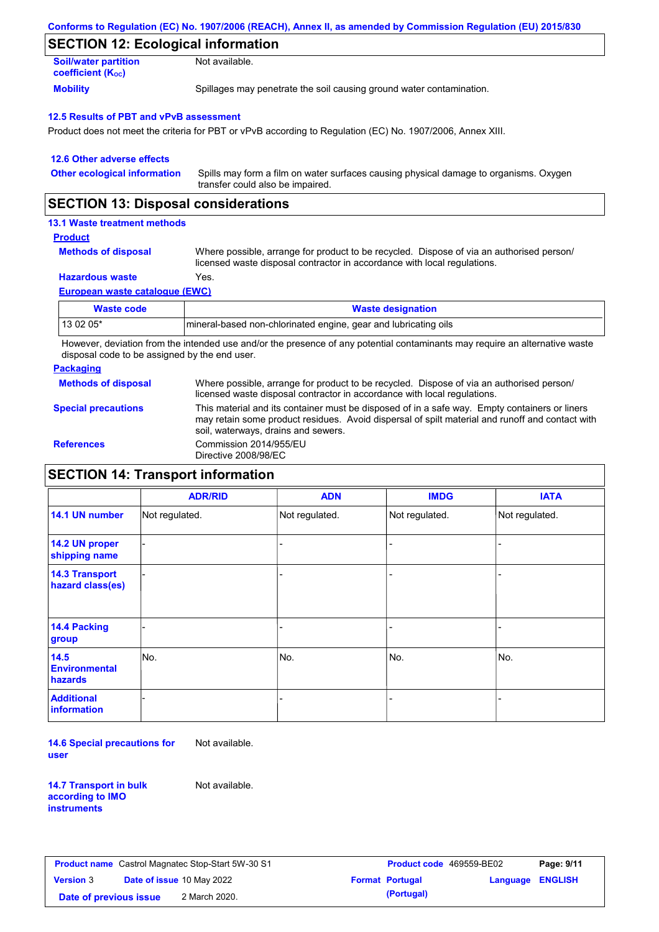| Conforms to Regulation (EC) No. 1907/2006 (REACH), Annex II, as amended by Commission Regulation (EU) 2015/830 |  |
|----------------------------------------------------------------------------------------------------------------|--|
|----------------------------------------------------------------------------------------------------------------|--|

# **SECTION 12: Ecological information**

| <b>Soil/water partition</b>           | Not available.                                                       |
|---------------------------------------|----------------------------------------------------------------------|
| <b>coefficient</b> (K <sub>oc</sub> ) |                                                                      |
| <b>Mobility</b>                       | Spillages may penetrate the soil causing ground water contamination. |

#### **12.5 Results of PBT and vPvB assessment**

Product does not meet the criteria for PBT or vPvB according to Regulation (EC) No. 1907/2006, Annex XIII.

| 12.6 Other adverse effects          |                                                                                                                           |
|-------------------------------------|---------------------------------------------------------------------------------------------------------------------------|
| <b>Other ecological information</b> | Spills may form a film on water surfaces causing physical damage to organisms. Oxygen<br>transfer could also be impaired. |

### **SECTION 13: Disposal considerations**

### **13.1 Waste treatment methods**

#### **Product**

| <b>Methods of disposal</b> |
|----------------------------|
|----------------------------|

Where possible, arrange for product to be recycled. Dispose of via an authorised person/ licensed waste disposal contractor in accordance with local regulations.

### **Hazardous waste** Yes.

**European waste catalogue (EWC)**

| <b>Waste code</b> | <b>Waste designation</b>                                        |
|-------------------|-----------------------------------------------------------------|
| 13 02 05*         | mineral-based non-chlorinated engine, gear and lubricating oils |

However, deviation from the intended use and/or the presence of any potential contaminants may require an alternative waste disposal code to be assigned by the end user.

#### **Packaging**

**Methods of disposal** Where possible, arrange for product to be recycled. Dispose of via an authorised person/ licensed waste disposal contractor in accordance with local regulations.

#### **Special precautions**

This material and its container must be disposed of in a safe way. Empty containers or liners

may retain some product residues. Avoid dispersal of spilt material and runoff and contact with

soil, waterways, drains and sewers. **References** Commission 2014/955/EU Directive 2008/98/EC

## **SECTION 14: Transport information**

|                                           | <b>ADR/RID</b> | <b>ADN</b>     | <b>IMDG</b>    | <b>IATA</b>    |
|-------------------------------------------|----------------|----------------|----------------|----------------|
| 14.1 UN number                            | Not regulated. | Not regulated. | Not regulated. | Not regulated. |
| 14.2 UN proper<br>shipping name           |                |                |                |                |
| <b>14.3 Transport</b><br>hazard class(es) |                |                |                |                |
| 14.4 Packing<br>group                     |                |                | $\blacksquare$ |                |
| 14.5<br><b>Environmental</b><br>hazards   | No.            | No.            | No.            | No.            |
| <b>Additional</b><br>information          |                |                | -              |                |

**14.6 Special precautions for user** Not available.

**14.7 Transport in bulk according to IMO instruments**

Not available.

|                        | <b>Product name</b> Castrol Magnatec Stop-Start 5W-30 S1 | <b>Product code</b> 469559-BE02 |                         | Page: 9/11 |
|------------------------|----------------------------------------------------------|---------------------------------|-------------------------|------------|
| <b>Version 3</b>       | <b>Date of issue 10 May 2022</b>                         | <b>Format Portugal</b>          | <b>Language ENGLISH</b> |            |
| Date of previous issue | 2 March 2020.                                            | (Portugal)                      |                         |            |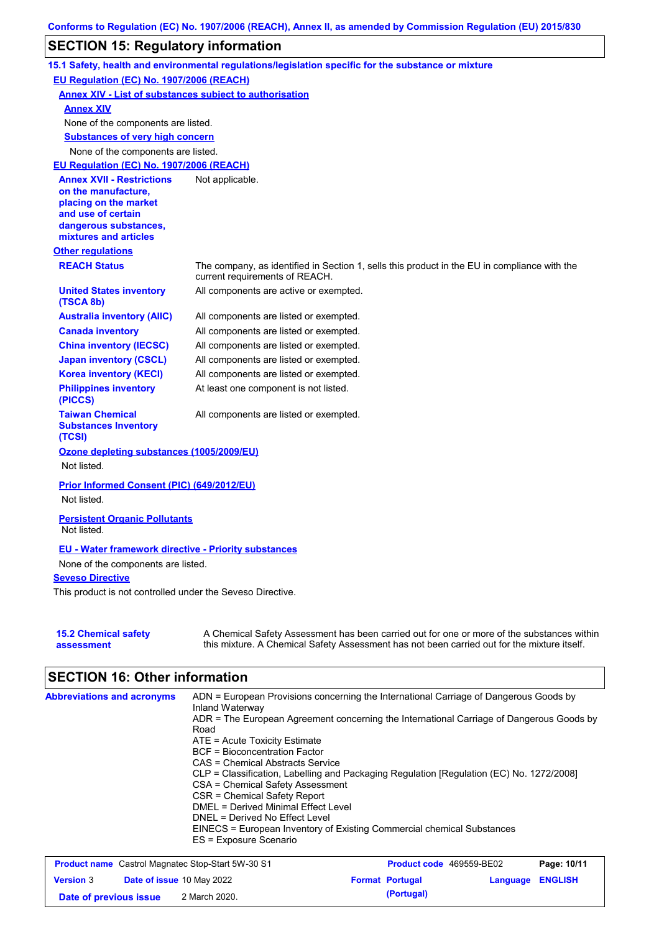# **SECTION 15: Regulatory information**

|                                                                                                                                                          | 15.1 Safety, health and environmental regulations/legislation specific for the substance or mixture                                                                                       |
|----------------------------------------------------------------------------------------------------------------------------------------------------------|-------------------------------------------------------------------------------------------------------------------------------------------------------------------------------------------|
| EU Regulation (EC) No. 1907/2006 (REACH)                                                                                                                 |                                                                                                                                                                                           |
| <b>Annex XIV - List of substances subject to authorisation</b>                                                                                           |                                                                                                                                                                                           |
| <b>Annex XIV</b>                                                                                                                                         |                                                                                                                                                                                           |
| None of the components are listed.                                                                                                                       |                                                                                                                                                                                           |
| <b>Substances of very high concern</b>                                                                                                                   |                                                                                                                                                                                           |
| None of the components are listed.                                                                                                                       |                                                                                                                                                                                           |
| EU Regulation (EC) No. 1907/2006 (REACH)                                                                                                                 |                                                                                                                                                                                           |
| <b>Annex XVII - Restrictions</b><br>on the manufacture,<br>placing on the market<br>and use of certain<br>dangerous substances,<br>mixtures and articles | Not applicable.                                                                                                                                                                           |
| <b>Other regulations</b>                                                                                                                                 |                                                                                                                                                                                           |
| <b>REACH Status</b>                                                                                                                                      | The company, as identified in Section 1, sells this product in the EU in compliance with the<br>current requirements of REACH.                                                            |
| <b>United States inventory</b><br>(TSCA 8b)                                                                                                              | All components are active or exempted.                                                                                                                                                    |
| <b>Australia inventory (AIIC)</b>                                                                                                                        | All components are listed or exempted.                                                                                                                                                    |
| <b>Canada inventory</b>                                                                                                                                  | All components are listed or exempted.                                                                                                                                                    |
| <b>China inventory (IECSC)</b>                                                                                                                           | All components are listed or exempted.                                                                                                                                                    |
| <b>Japan inventory (CSCL)</b>                                                                                                                            | All components are listed or exempted.                                                                                                                                                    |
| <b>Korea inventory (KECI)</b>                                                                                                                            | All components are listed or exempted.                                                                                                                                                    |
| <b>Philippines inventory</b><br>(PICCS)                                                                                                                  | At least one component is not listed.                                                                                                                                                     |
| <b>Taiwan Chemical</b><br><b>Substances Inventory</b><br>(TCSI)                                                                                          | All components are listed or exempted.                                                                                                                                                    |
| Ozone depleting substances (1005/2009/EU)                                                                                                                |                                                                                                                                                                                           |
| Not listed.                                                                                                                                              |                                                                                                                                                                                           |
| Prior Informed Consent (PIC) (649/2012/EU)<br>Not listed.                                                                                                |                                                                                                                                                                                           |
| <b>Persistent Organic Pollutants</b><br>Not listed.                                                                                                      |                                                                                                                                                                                           |
| <b>EU - Water framework directive - Priority substances</b>                                                                                              |                                                                                                                                                                                           |
| None of the components are listed.                                                                                                                       |                                                                                                                                                                                           |
| <b>Seveso Directive</b>                                                                                                                                  |                                                                                                                                                                                           |
| This product is not controlled under the Seveso Directive.                                                                                               |                                                                                                                                                                                           |
|                                                                                                                                                          |                                                                                                                                                                                           |
| <b>15.2 Chemical safety</b><br>assessment                                                                                                                | A Chemical Safety Assessment has been carried out for one or more of the substances within<br>this mixture. A Chemical Safety Assessment has not been carried out for the mixture itself. |

# **SECTION 16: Other information**

| <b>Abbreviations and acronyms</b> | ADN = European Provisions concerning the International Carriage of Dangerous Goods by<br>Inland Waterway |
|-----------------------------------|----------------------------------------------------------------------------------------------------------|
|                                   | ADR = The European Agreement concerning the International Carriage of Dangerous Goods by                 |
|                                   | Road<br>$ATE = Acute Toxicity Estimate$                                                                  |
|                                   | <b>BCF</b> = Bioconcentration Factor                                                                     |
|                                   | CAS = Chemical Abstracts Service                                                                         |
|                                   | CLP = Classification, Labelling and Packaging Regulation [Regulation (EC) No. 1272/2008]                 |
|                                   | CSA = Chemical Safety Assessment                                                                         |
|                                   | CSR = Chemical Safety Report                                                                             |
|                                   | DMEL = Derived Minimal Effect Level                                                                      |
|                                   | DNEL = Derived No Effect Level                                                                           |
|                                   | EINECS = European Inventory of Existing Commercial chemical Substances                                   |
|                                   | ES = Exposure Scenario                                                                                   |

|                        |                                  | <b>Product name</b> Castrol Magnatec Stop-Start 5W-30 S1 | <b>Product code</b> 469559-BE02 |                         | Page: 10/11 |
|------------------------|----------------------------------|----------------------------------------------------------|---------------------------------|-------------------------|-------------|
| <b>Version 3</b>       | <b>Date of issue 10 May 2022</b> |                                                          | <b>Format Portugal</b>          | <b>Language ENGLISH</b> |             |
| Date of previous issue |                                  | 2 March 2020.                                            | (Portugal)                      |                         |             |